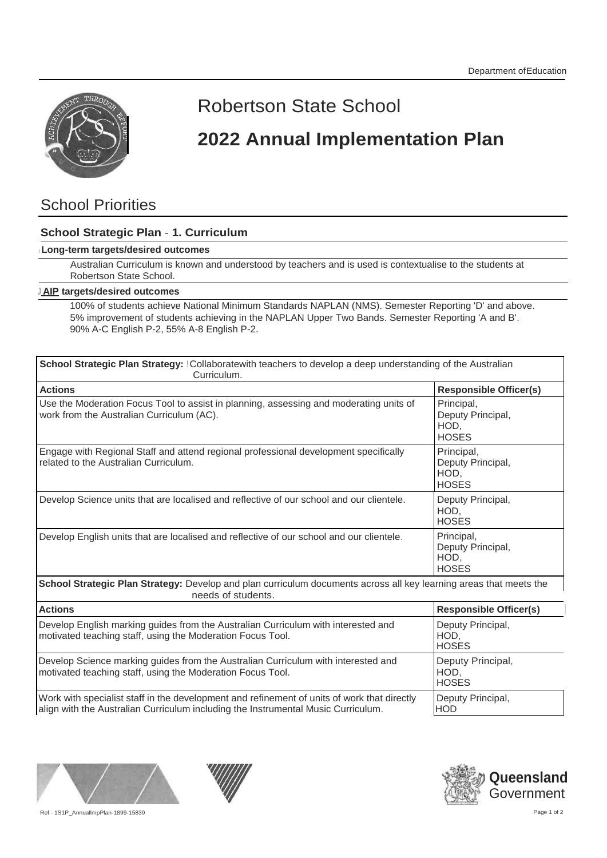

## Robertson State School

# **2022 Annual Implementation Plan**

### School Priorities

### **School Strategic Plan** - **1. Curriculum**

#### <sup>J</sup>**Long-term targets/desired outcomes**

Australian Curriculum is known and understood by teachers and is used is contextualise to the students at Robertson State School.

#### **<sup>J</sup> AIP targets/desired outcomes**

100% of students achieve National Minimum Standards NAPLAN (NMS). Semester Reporting 'D' and above. 5% improvement of students achieving in the NAPLAN Upper Two Bands. Semester Reporting 'A and B'. 90% A-C English P-2, 55% A-8 English P-2.

| School Strategic Plan Strategy: Collaboratewith teachers to develop a deep understanding of the Australian<br>Curriculum.                                                        |                                                         |
|----------------------------------------------------------------------------------------------------------------------------------------------------------------------------------|---------------------------------------------------------|
| <b>Actions</b>                                                                                                                                                                   | <b>Responsible Officer(s)</b>                           |
| Use the Moderation Focus Tool to assist in planning, assessing and moderating units of<br>work from the Australian Curriculum (AC).                                              | Principal,<br>Deputy Principal,<br>HOD,<br><b>HOSES</b> |
| Engage with Regional Staff and attend regional professional development specifically<br>related to the Australian Curriculum.                                                    | Principal,<br>Deputy Principal,<br>HOD,<br><b>HOSES</b> |
| Develop Science units that are localised and reflective of our school and our clientele.                                                                                         | Deputy Principal,<br>HOD,<br><b>HOSES</b>               |
| Develop English units that are localised and reflective of our school and our clientele.                                                                                         | Principal,<br>Deputy Principal,<br>HOD,<br><b>HOSES</b> |
| School Strategic Plan Strategy: Develop and plan curriculum documents across all key learning areas that meets the<br>needs of students.                                         |                                                         |
| <b>Actions</b>                                                                                                                                                                   | <b>Responsible Officer(s)</b>                           |
| Develop English marking guides from the Australian Curriculum with interested and<br>motivated teaching staff, using the Moderation Focus Tool.                                  | Deputy Principal,<br>HOD.<br><b>HOSES</b>               |
| Develop Science marking guides from the Australian Curriculum with interested and<br>motivated teaching staff, using the Moderation Focus Tool.                                  | Deputy Principal,<br>HOD.<br><b>HOSES</b>               |
| Work with specialist staff in the development and refinement of units of work that directly<br>align with the Australian Curriculum including the Instrumental Music Curriculum. | Deputy Principal,<br><b>HOD</b>                         |

align with the Australian Curriculum including the Instrumental Music Curriculum.